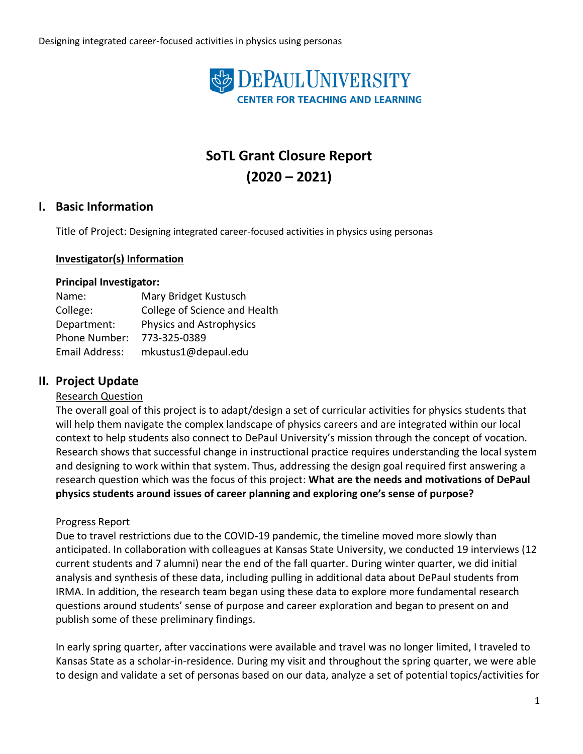

# **SoTL Grant Closure Report (2020 – 2021)**

### **I. Basic Information**

Title of Project: Designing integrated career-focused activities in physics using personas

#### **Investigator(s) Information**

#### **Principal Investigator:**

| Name:          | Mary Bridget Kustusch           |
|----------------|---------------------------------|
| College:       | College of Science and Health   |
| Department:    | <b>Physics and Astrophysics</b> |
| Phone Number:  | 773-325-0389                    |
| Email Address: | mkustus1@depaul.edu             |

## **II. Project Update**

#### Research Question

The overall goal of this project is to adapt/design a set of curricular activities for physics students that will help them navigate the complex landscape of physics careers and are integrated within our local context to help students also connect to DePaul University's mission through the concept of vocation. Research shows that successful change in instructional practice requires understanding the local system and designing to work within that system. Thus, addressing the design goal required first answering a research question which was the focus of this project: **What are the needs and motivations of DePaul physics students around issues of career planning and exploring one's sense of purpose?** 

#### Progress Report

Due to travel restrictions due to the COVID-19 pandemic, the timeline moved more slowly than anticipated. In collaboration with colleagues at Kansas State University, we conducted 19 interviews (12 current students and 7 alumni) near the end of the fall quarter. During winter quarter, we did initial analysis and synthesis of these data, including pulling in additional data about DePaul students from IRMA. In addition, the research team began using these data to explore more fundamental research questions around students' sense of purpose and career exploration and began to present on and publish some of these preliminary findings.

In early spring quarter, after vaccinations were available and travel was no longer limited, I traveled to Kansas State as a scholar-in-residence. During my visit and throughout the spring quarter, we were able to design and validate a set of personas based on our data, analyze a set of potential topics/activities for